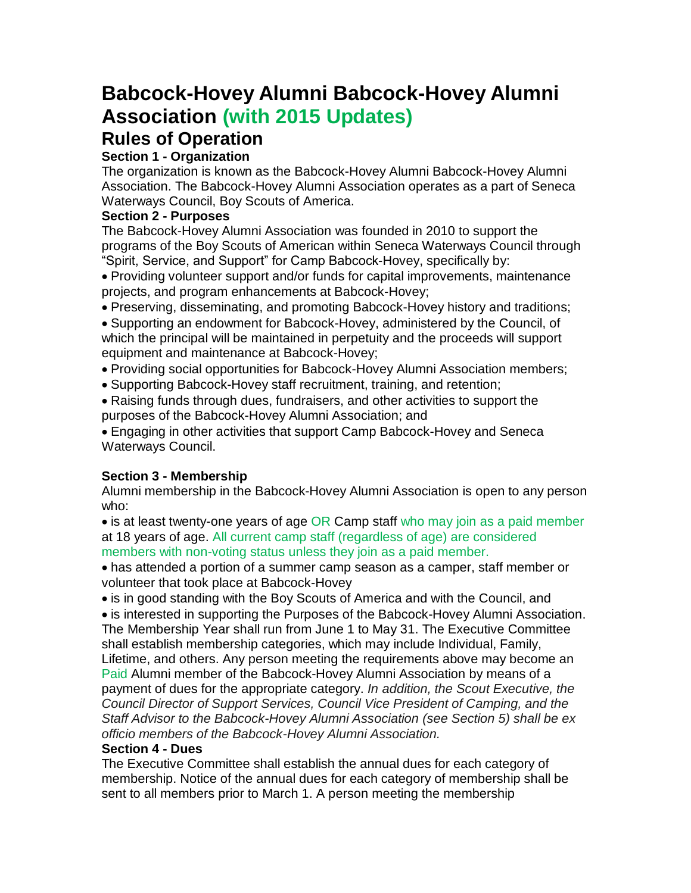# **Babcock-Hovey Alumni Babcock-Hovey Alumni Association (with 2015 Updates)**

## **Rules of Operation**

## **Section 1 - Organization**

The organization is known as the Babcock-Hovey Alumni Babcock-Hovey Alumni Association. The Babcock-Hovey Alumni Association operates as a part of Seneca Waterways Council, Boy Scouts of America.

## **Section 2 - Purposes**

The Babcock-Hovey Alumni Association was founded in 2010 to support the programs of the Boy Scouts of American within Seneca Waterways Council through "Spirit, Service, and Support" for Camp Babcock-Hovey, specifically by:

• Providing volunteer support and/or funds for capital improvements, maintenance projects, and program enhancements at Babcock-Hovey;

• Preserving, disseminating, and promoting Babcock-Hovey history and traditions;

• Supporting an endowment for Babcock-Hovey, administered by the Council, of which the principal will be maintained in perpetuity and the proceeds will support equipment and maintenance at Babcock-Hovey;

- Providing social opportunities for Babcock-Hovey Alumni Association members;
- Supporting Babcock-Hovey staff recruitment, training, and retention;
- Raising funds through dues, fundraisers, and other activities to support the purposes of the Babcock-Hovey Alumni Association; and

• Engaging in other activities that support Camp Babcock-Hovey and Seneca Waterways Council.

## **Section 3 - Membership**

Alumni membership in the Babcock-Hovey Alumni Association is open to any person who:

• is at least twenty-one years of age OR Camp staff who may join as a paid member at 18 years of age. All current camp staff (regardless of age) are considered members with non-voting status unless they join as a paid member.

• has attended a portion of a summer camp season as a camper, staff member or volunteer that took place at Babcock-Hovey

• is in good standing with the Boy Scouts of America and with the Council, and

• is interested in supporting the Purposes of the Babcock-Hovey Alumni Association. The Membership Year shall run from June 1 to May 31. The Executive Committee shall establish membership categories, which may include Individual, Family, Lifetime, and others. Any person meeting the requirements above may become an Paid Alumni member of the Babcock-Hovey Alumni Association by means of a payment of dues for the appropriate category. *In addition, the Scout Executive, the Council Director of Support Services, Council Vice President of Camping, and the Staff Advisor to the Babcock-Hovey Alumni Association (see Section 5) shall be ex officio members of the Babcock-Hovey Alumni Association.*

## **Section 4 - Dues**

The Executive Committee shall establish the annual dues for each category of membership. Notice of the annual dues for each category of membership shall be sent to all members prior to March 1. A person meeting the membership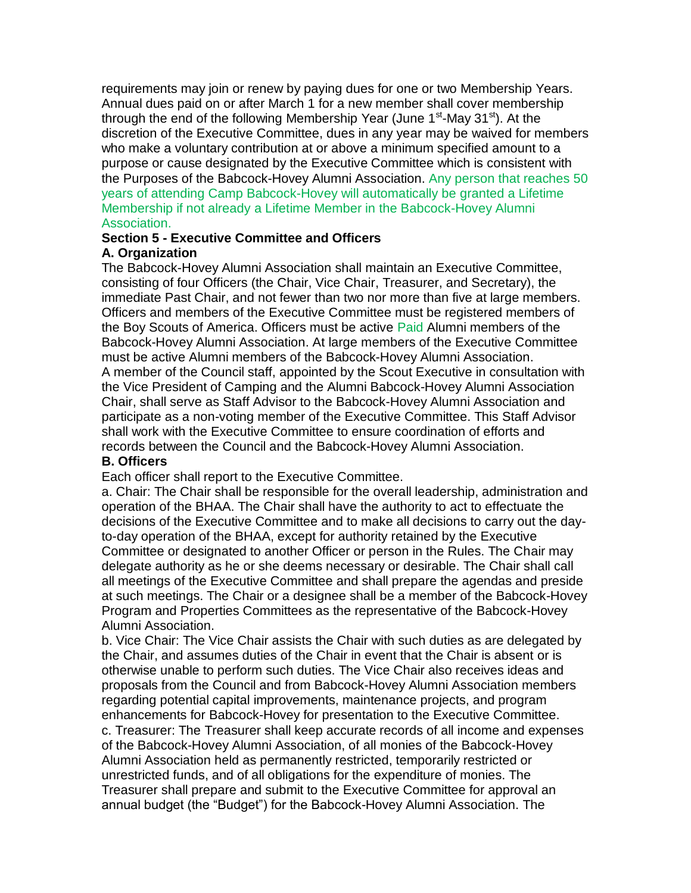requirements may join or renew by paying dues for one or two Membership Years. Annual dues paid on or after March 1 for a new member shall cover membership through the end of the following Membership Year (June 1<sup>st</sup>-May 31<sup>st</sup>). At the discretion of the Executive Committee, dues in any year may be waived for members who make a voluntary contribution at or above a minimum specified amount to a purpose or cause designated by the Executive Committee which is consistent with the Purposes of the Babcock-Hovey Alumni Association. Any person that reaches 50 years of attending Camp Babcock-Hovey will automatically be granted a Lifetime Membership if not already a Lifetime Member in the Babcock-Hovey Alumni Association.

#### **Section 5 - Executive Committee and Officers A. Organization**

The Babcock-Hovey Alumni Association shall maintain an Executive Committee, consisting of four Officers (the Chair, Vice Chair, Treasurer, and Secretary), the immediate Past Chair, and not fewer than two nor more than five at large members. Officers and members of the Executive Committee must be registered members of the Boy Scouts of America. Officers must be active Paid Alumni members of the Babcock-Hovey Alumni Association. At large members of the Executive Committee must be active Alumni members of the Babcock-Hovey Alumni Association. A member of the Council staff, appointed by the Scout Executive in consultation with the Vice President of Camping and the Alumni Babcock-Hovey Alumni Association Chair, shall serve as Staff Advisor to the Babcock-Hovey Alumni Association and participate as a non-voting member of the Executive Committee. This Staff Advisor shall work with the Executive Committee to ensure coordination of efforts and records between the Council and the Babcock-Hovey Alumni Association.

#### **B. Officers**

Each officer shall report to the Executive Committee.

a. Chair: The Chair shall be responsible for the overall leadership, administration and operation of the BHAA. The Chair shall have the authority to act to effectuate the decisions of the Executive Committee and to make all decisions to carry out the dayto-day operation of the BHAA, except for authority retained by the Executive Committee or designated to another Officer or person in the Rules. The Chair may delegate authority as he or she deems necessary or desirable. The Chair shall call all meetings of the Executive Committee and shall prepare the agendas and preside at such meetings. The Chair or a designee shall be a member of the Babcock-Hovey Program and Properties Committees as the representative of the Babcock-Hovey Alumni Association.

b. Vice Chair: The Vice Chair assists the Chair with such duties as are delegated by the Chair, and assumes duties of the Chair in event that the Chair is absent or is otherwise unable to perform such duties. The Vice Chair also receives ideas and proposals from the Council and from Babcock-Hovey Alumni Association members regarding potential capital improvements, maintenance projects, and program enhancements for Babcock-Hovey for presentation to the Executive Committee.

c. Treasurer: The Treasurer shall keep accurate records of all income and expenses of the Babcock-Hovey Alumni Association, of all monies of the Babcock-Hovey Alumni Association held as permanently restricted, temporarily restricted or unrestricted funds, and of all obligations for the expenditure of monies. The Treasurer shall prepare and submit to the Executive Committee for approval an annual budget (the "Budget") for the Babcock-Hovey Alumni Association. The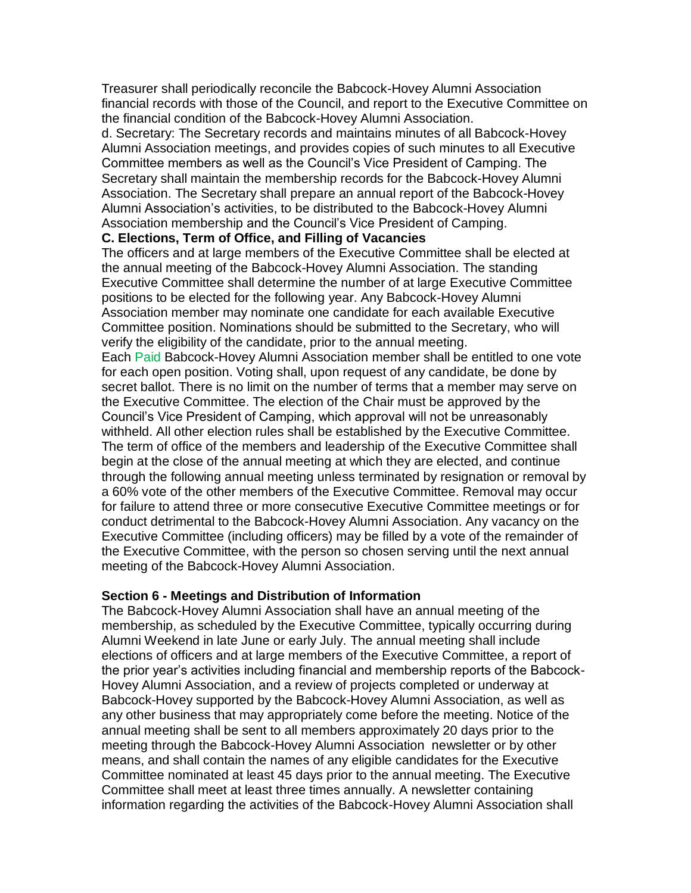Treasurer shall periodically reconcile the Babcock-Hovey Alumni Association financial records with those of the Council, and report to the Executive Committee on the financial condition of the Babcock-Hovey Alumni Association.

d. Secretary: The Secretary records and maintains minutes of all Babcock-Hovey Alumni Association meetings, and provides copies of such minutes to all Executive Committee members as well as the Council's Vice President of Camping. The Secretary shall maintain the membership records for the Babcock-Hovey Alumni Association. The Secretary shall prepare an annual report of the Babcock-Hovey Alumni Association's activities, to be distributed to the Babcock-Hovey Alumni Association membership and the Council's Vice President of Camping.

#### **C. Elections, Term of Office, and Filling of Vacancies**

The officers and at large members of the Executive Committee shall be elected at the annual meeting of the Babcock-Hovey Alumni Association. The standing Executive Committee shall determine the number of at large Executive Committee positions to be elected for the following year. Any Babcock-Hovey Alumni Association member may nominate one candidate for each available Executive Committee position. Nominations should be submitted to the Secretary, who will verify the eligibility of the candidate, prior to the annual meeting. Each Paid Babcock-Hovey Alumni Association member shall be entitled to one vote

for each open position. Voting shall, upon request of any candidate, be done by secret ballot. There is no limit on the number of terms that a member may serve on the Executive Committee. The election of the Chair must be approved by the Council's Vice President of Camping, which approval will not be unreasonably withheld. All other election rules shall be established by the Executive Committee. The term of office of the members and leadership of the Executive Committee shall begin at the close of the annual meeting at which they are elected, and continue through the following annual meeting unless terminated by resignation or removal by a 60% vote of the other members of the Executive Committee. Removal may occur for failure to attend three or more consecutive Executive Committee meetings or for conduct detrimental to the Babcock-Hovey Alumni Association. Any vacancy on the Executive Committee (including officers) may be filled by a vote of the remainder of the Executive Committee, with the person so chosen serving until the next annual meeting of the Babcock-Hovey Alumni Association.

#### **Section 6 - Meetings and Distribution of Information**

The Babcock-Hovey Alumni Association shall have an annual meeting of the membership, as scheduled by the Executive Committee, typically occurring during Alumni Weekend in late June or early July. The annual meeting shall include elections of officers and at large members of the Executive Committee, a report of the prior year's activities including financial and membership reports of the Babcock-Hovey Alumni Association, and a review of projects completed or underway at Babcock-Hovey supported by the Babcock-Hovey Alumni Association, as well as any other business that may appropriately come before the meeting. Notice of the annual meeting shall be sent to all members approximately 20 days prior to the meeting through the Babcock-Hovey Alumni Association newsletter or by other means, and shall contain the names of any eligible candidates for the Executive Committee nominated at least 45 days prior to the annual meeting. The Executive Committee shall meet at least three times annually. A newsletter containing information regarding the activities of the Babcock-Hovey Alumni Association shall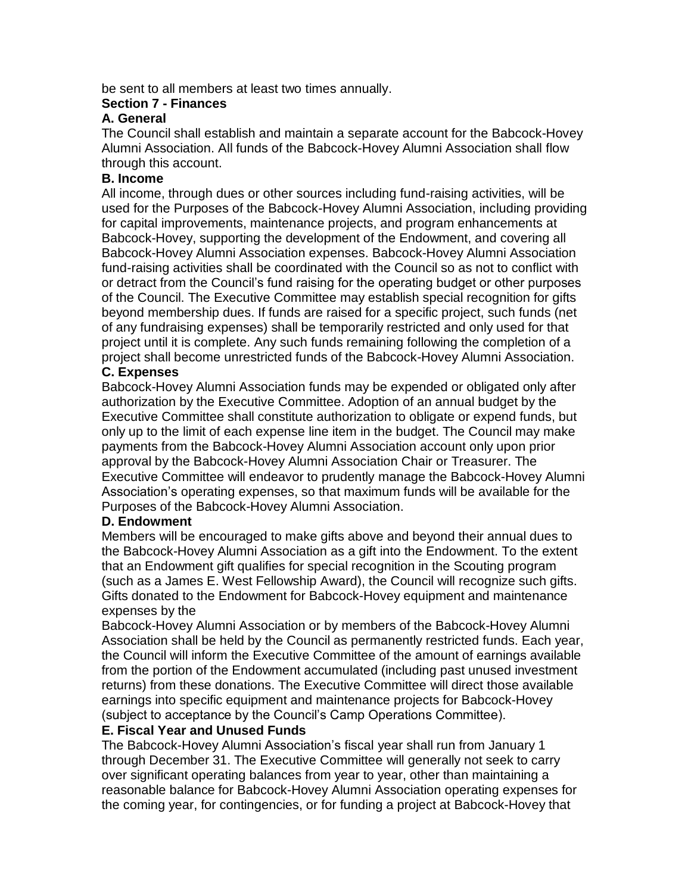be sent to all members at least two times annually.

#### **Section 7 - Finances**

#### **A. General**

The Council shall establish and maintain a separate account for the Babcock-Hovey Alumni Association. All funds of the Babcock-Hovey Alumni Association shall flow through this account.

#### **B. Income**

All income, through dues or other sources including fund-raising activities, will be used for the Purposes of the Babcock-Hovey Alumni Association, including providing for capital improvements, maintenance projects, and program enhancements at Babcock-Hovey, supporting the development of the Endowment, and covering all Babcock-Hovey Alumni Association expenses. Babcock-Hovey Alumni Association fund-raising activities shall be coordinated with the Council so as not to conflict with or detract from the Council's fund raising for the operating budget or other purposes of the Council. The Executive Committee may establish special recognition for gifts beyond membership dues. If funds are raised for a specific project, such funds (net of any fundraising expenses) shall be temporarily restricted and only used for that project until it is complete. Any such funds remaining following the completion of a project shall become unrestricted funds of the Babcock-Hovey Alumni Association.

## **C. Expenses**

Babcock-Hovey Alumni Association funds may be expended or obligated only after authorization by the Executive Committee. Adoption of an annual budget by the Executive Committee shall constitute authorization to obligate or expend funds, but only up to the limit of each expense line item in the budget. The Council may make payments from the Babcock-Hovey Alumni Association account only upon prior approval by the Babcock-Hovey Alumni Association Chair or Treasurer. The Executive Committee will endeavor to prudently manage the Babcock-Hovey Alumni Association's operating expenses, so that maximum funds will be available for the Purposes of the Babcock-Hovey Alumni Association.

#### **D. Endowment**

Members will be encouraged to make gifts above and beyond their annual dues to the Babcock-Hovey Alumni Association as a gift into the Endowment. To the extent that an Endowment gift qualifies for special recognition in the Scouting program (such as a James E. West Fellowship Award), the Council will recognize such gifts. Gifts donated to the Endowment for Babcock-Hovey equipment and maintenance expenses by the

Babcock-Hovey Alumni Association or by members of the Babcock-Hovey Alumni Association shall be held by the Council as permanently restricted funds. Each year, the Council will inform the Executive Committee of the amount of earnings available from the portion of the Endowment accumulated (including past unused investment returns) from these donations. The Executive Committee will direct those available earnings into specific equipment and maintenance projects for Babcock-Hovey (subject to acceptance by the Council's Camp Operations Committee).

#### **E. Fiscal Year and Unused Funds**

The Babcock-Hovey Alumni Association's fiscal year shall run from January 1 through December 31. The Executive Committee will generally not seek to carry over significant operating balances from year to year, other than maintaining a reasonable balance for Babcock-Hovey Alumni Association operating expenses for the coming year, for contingencies, or for funding a project at Babcock-Hovey that